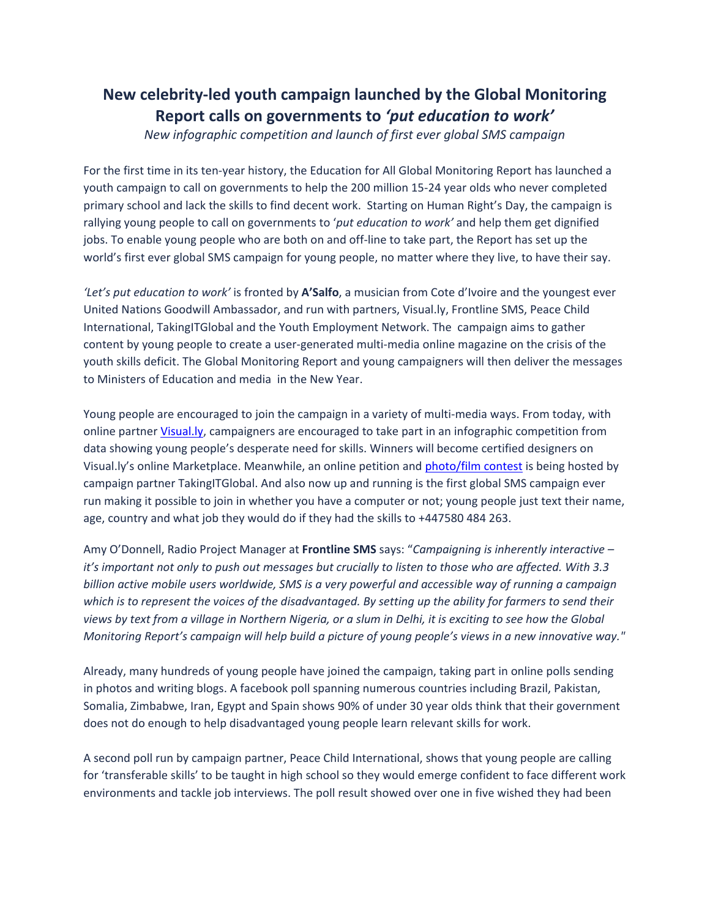## **New celebrity‐led youth campaign launched by the Global Monitoring Report calls on governments to** *'put education to work'*

*New infographic competition and launch of first ever global SMS campaign*

For the first time in its ten-year history, the Education for All Global Monitoring Report has launched a youth campaign to call on governments to help the 200 million 15‐24 year olds who never completed primary school and lack the skills to find decent work. Starting on Human Right's Day, the campaign is rallying young people to call on governments to '*put education to work'* and help them get dignified jobs. To enable young people who are both on and off-line to take part, the Report has set up the world's first ever global SMS campaign for young people, no matter where they live, to have their say.

*'Let's put education to work'* is fronted by **A'Salfo**, a musician from Cote d'Ivoire and the youngest ever United Nations Goodwill Ambassador, and run with partners, Visual.ly, Frontline SMS, Peace Child International, TakingITGlobal and the Youth Employment Network. The campaign aims to gather content by young people to create a user-generated multi-media online magazine on the crisis of the youth skills deficit. The Global Monitoring Report and young campaigners will then deliver the messages to Ministers of Education and media in the New Year.

Young people are encouraged to join the campaign in a variety of multi-media ways. From today, with online partner *Visual.ly*, campaigners are encouraged to take part in an infographic competition from data showing young people's desperate need for skills. Winners will become certified designers on Visual.ly's online Marketplace. Meanwhile, an online petition and photo/film contest is being hosted by campaign partner TakingITGlobal. And also now up and running is the first global SMS campaign ever run making it possible to join in whether you have a computer or not; young people just text their name, age, country and what job they would do if they had the skills to +447580 484 263.

Amy O'Donnell, Radio Project Manager at **Frontline SMS** says: "*Campaigning is inherently interactive –* it's important not only to push out messages but crucially to listen to those who are affected. With 3.3 *billion active mobile users worldwide, SMS is a very powerful and accessible way of running a campaign* which is to represent the voices of the disadvantaged. By setting up the ability for farmers to send their views by text from a village in Northern Nigeria, or a slum in Delhi, it is exciting to see how the Global *Monitoring Report's campaign will help build a picture of young people's views in a new innovative way."*

Already, many hundreds of young people have joined the campaign, taking part in online polls sending in photos and writing blogs. A facebook poll spanning numerous countries including Brazil, Pakistan, Somalia, Zimbabwe, Iran, Egypt and Spain shows 90% of under 30 year olds think that their government does not do enough to help disadvantaged young people learn relevant skills for work.

A second poll run by campaign partner, Peace Child International, shows that young people are calling for 'transferable skills' to be taught in high school so they would emerge confident to face different work environments and tackle job interviews. The poll result showed over one in five wished they had been